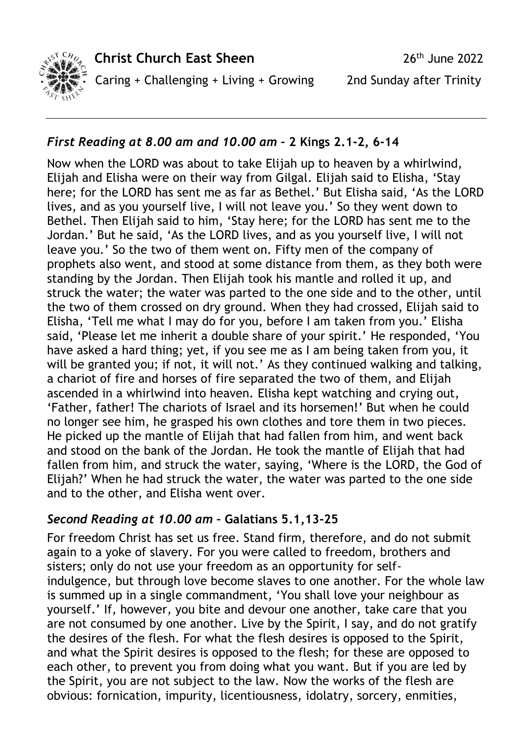

**Christ Church East Sheen** 26<sup>th</sup> June 2022

Caring + Challenging + Living + Growing 2nd Sunday after Trinity

#### *First Reading at 8.00 am and 10.00 am* **– 2 Kings 2.1-2, 6-14**

Now when the LORD was about to take Elijah up to heaven by a whirlwind, Elijah and Elisha were on their way from Gilgal. Elijah said to Elisha, 'Stay here; for the LORD has sent me as far as Bethel.' But Elisha said, 'As the LORD lives, and as you yourself live, I will not leave you.' So they went down to Bethel. Then Elijah said to him, 'Stay here; for the LORD has sent me to the Jordan.' But he said, 'As the LORD lives, and as you yourself live, I will not leave you.' So the two of them went on. Fifty men of the company of prophets also went, and stood at some distance from them, as they both were standing by the Jordan. Then Elijah took his mantle and rolled it up, and struck the water; the water was parted to the one side and to the other, until the two of them crossed on dry ground. When they had crossed, Elijah said to Elisha, 'Tell me what I may do for you, before I am taken from you.' Elisha said, 'Please let me inherit a double share of your spirit.' He responded, 'You have asked a hard thing; yet, if you see me as I am being taken from you, it will be granted you; if not, it will not.' As they continued walking and talking, a chariot of fire and horses of fire separated the two of them, and Elijah ascended in a whirlwind into heaven. Elisha kept watching and crying out, 'Father, father! The chariots of Israel and its horsemen!' But when he could no longer see him, he grasped his own clothes and tore them in two pieces. He picked up the mantle of Elijah that had fallen from him, and went back and stood on the bank of the Jordan. He took the mantle of Elijah that had fallen from him, and struck the water, saying, 'Where is the LORD, the God of Elijah?' When he had struck the water, the water was parted to the one side and to the other, and Elisha went over.

#### *Second Reading at 10.00 am* **– Galatians 5.1,13-25**

For freedom Christ has set us free. Stand firm, therefore, and do not submit again to a yoke of slavery. For you were called to freedom, brothers and sisters; only do not use your freedom as an opportunity for selfindulgence, but through love become slaves to one another. For the whole law is summed up in a single commandment, 'You shall love your neighbour as yourself.' If, however, you bite and devour one another, take care that you are not consumed by one another. Live by the Spirit, I say, and do not gratify the desires of the flesh. For what the flesh desires is opposed to the Spirit, and what the Spirit desires is opposed to the flesh; for these are opposed to each other, to prevent you from doing what you want. But if you are led by the Spirit, you are not subject to the law. Now the works of the flesh are obvious: fornication, impurity, licentiousness, idolatry, sorcery, enmities,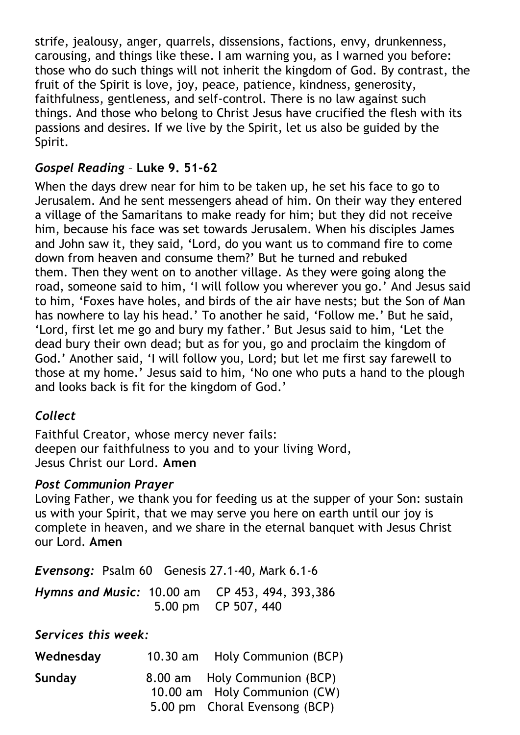strife, jealousy, anger, quarrels, dissensions, factions, envy, drunkenness, carousing, and things like these. I am warning you, as I warned you before: those who do such things will not inherit the kingdom of God. By contrast, the fruit of the Spirit is love, joy, peace, patience, kindness, generosity, faithfulness, gentleness, and self-control. There is no law against such things. And those who belong to Christ Jesus have crucified the flesh with its passions and desires. If we live by the Spirit, let us also be guided by the Spirit.

### *Gospel Reading* – **Luke 9. 51-62**

When the days drew near for him to be taken up, he set his face to go to Jerusalem. And he sent messengers ahead of him. On their way they entered a village of the Samaritans to make ready for him; but they did not receive him, because his face was set towards Jerusalem. When his disciples James and John saw it, they said, 'Lord, do you want us to command fire to come down from heaven and consume them?' But he turned and rebuked them. Then they went on to another village. As they were going along the road, someone said to him, 'I will follow you wherever you go.' And Jesus said to him, 'Foxes have holes, and birds of the air have nests; but the Son of Man has nowhere to lay his head.' To another he said, 'Follow me.' But he said, 'Lord, first let me go and bury my father.' But Jesus said to him, 'Let the dead bury their own dead; but as for you, go and proclaim the kingdom of God.' Another said, 'I will follow you, Lord; but let me first say farewell to those at my home.' Jesus said to him, 'No one who puts a hand to the plough and looks back is fit for the kingdom of God.'

## *Collect*

Faithful Creator, whose mercy never fails: deepen our faithfulness to you and to your living Word, Jesus Christ our Lord. **Amen**

#### *Post Communion Prayer*

Loving Father, we thank you for feeding us at the supper of your Son: sustain us with your Spirit, that we may serve you here on earth until our joy is complete in heaven, and we share in the eternal banquet with Jesus Christ our Lord. **Amen**

*Evensong:* Psalm 60 Genesis 27.1-40, Mark 6.1-6

*Hymns and Music:* 10.00 amCP 453, 494, 393,386 5.00 pm CP 507, 440

## *Services this week:*

| Wednesday | 10.30 am Holy Communion (BCP)                                |
|-----------|--------------------------------------------------------------|
| Sunday    | 8.00 am Holy Communion (BCP)<br>10.00 am Holy Communion (CW) |
|           | 5.00 pm Choral Evensong (BCP)                                |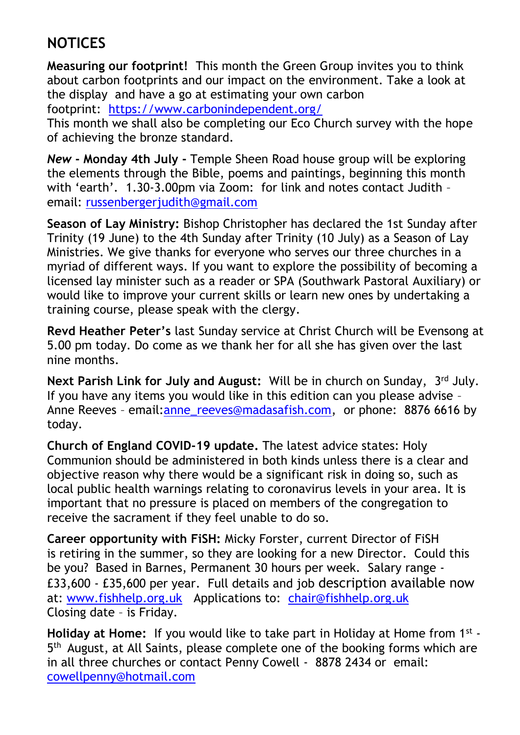# **NOTICES**

**Measuring our footprint!** This month the Green Group invites you to think about carbon footprints and our impact on the environment. Take a look at the display and have a go at estimating your own carbon footprint: <https://www.carbonindependent.org/>

This month we shall also be completing our Eco Church survey with the hope of achieving the bronze standard.

*New* **- Monday 4th July -** Temple Sheen Road house group will be exploring the elements through the Bible, poems and paintings, beginning this month with 'earth'. 1.30-3.00pm via Zoom: for link and notes contact Judith – email: [russenbergerjudith@gmail.com](mailto:russenbergerjudith@gmail.com)

**Season of Lay Ministry:** Bishop Christopher has declared the 1st Sunday after Trinity (19 June) to the 4th Sunday after Trinity (10 July) as a Season of Lay Ministries. We give thanks for everyone who serves our three churches in a myriad of different ways. If you want to explore the possibility of becoming a licensed lay minister such as a reader or SPA (Southwark Pastoral Auxiliary) or would like to improve your current skills or learn new ones by undertaking a training course, please speak with the clergy.

**Revd Heather Peter's** last Sunday service at Christ Church will be Evensong at 5.00 pm today. Do come as we thank her for all she has given over the last nine months.

Next Parish Link for July and August: Will be in church on Sunday, 3<sup>rd</sup> July. If you have any items you would like in this edition can you please advise – Anne Reeves – email[:anne\\_reeves@madasafish.com,](mailto:anne_reeves@madasafish.com) or phone: 8876 6616 by today.

**Church of England COVID-19 update.** The latest advice states: Holy Communion should be administered in both kinds unless there is a clear and objective reason why there would be a significant risk in doing so, such as local public health warnings relating to coronavirus levels in your area. It is important that no pressure is placed on members of the congregation to receive the sacrament if they feel unable to do so.

**Career opportunity with FiSH:** Micky Forster, current Director of FiSH is retiring in the summer, so they are looking for a new Director. Could this be you? Based in Barnes, Permanent 30 hours per week. Salary range - £33,600 - £35,600 per year. Full details and job description available now at: [www.fishhelp.org.uk](http://www.fishhelp.org.uk/) Applications to: [chair@fishhelp.org.uk](mailto:chair@fishhelp.org.uk) Closing date – is Friday.

Holiday at Home: If you would like to take part in Holiday at Home from 1<sup>st</sup> -5<sup>th</sup> August, at All Saints, please complete one of the booking forms which are in all three churches or contact Penny Cowell - 8878 2434 or email: [cowellpenny@hotmail.com](mailto:cowellpenny@hotmail.com)